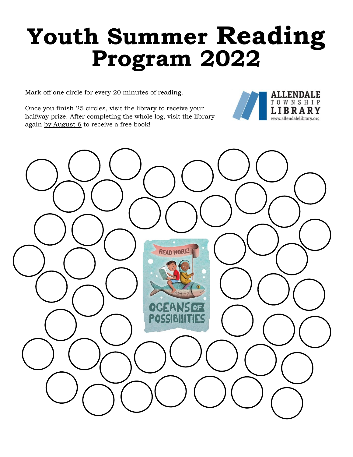## **Youth Summer Reading Program 2022**

**ALLENDALE** TOWNSHIP **LIBRARY** www.allendalelibrary.org

Mark off one circle for every 20 minutes of reading.

Once you finish 25 circles, visit the library to receive your halfway prize. After completing the whole log, visit the library again by August 6 to receive a free book!